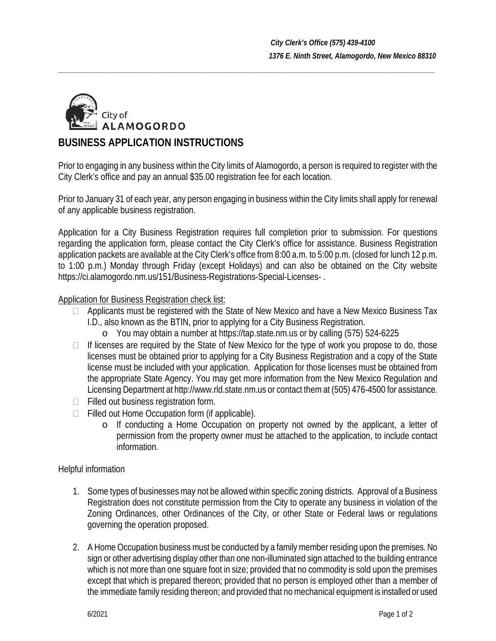

# **BUSINESS APPLICATION INSTRUCTIONS**

Prior to engaging in any business within the City limits of Alamogordo, a person is required to register with the City Clerk's office and pay an annual \$35.00 registration fee for each location.

*\_\_\_\_\_\_\_\_\_\_\_\_\_\_\_\_\_\_\_\_\_\_\_\_\_\_\_\_\_\_\_\_\_\_\_\_\_\_\_\_\_\_\_\_\_\_\_\_\_\_\_\_\_\_\_\_\_\_\_\_\_\_\_\_\_\_\_\_\_\_\_\_\_\_\_\_\_\_\_\_\_\_\_\_\_\_\_\_\_\_\_\_\_\_\_\_\_\_\_\_\_\_*

Prior to January 31 of each year, any person engaging in business within the City limits shall apply for renewal of any applicable business registration.

Application for a City Business Registration requires full completion prior to submission. For questions regarding the application form, please contact the City Clerk's office for assistance. Business Registration application packets are available at the City Clerk's office from 8:00 a.m. to 5:00 p.m. (closed for lunch 12 p.m. to 1:00 p.m.) Monday through Friday (except Holidays) and can also be obtained on the City website https://ci.alamogordo.nm.us/151/Business-Registrations-Special-Licenses-.

## Application for Business Registration check list:

- $\Box$  Applicants must be registered with the State of New Mexico and have a New Mexico Business Tax I.D., also known as the BTIN, prior to applying for a City Business Registration.
	- o You may obtain a number at https://tap.state.nm.us or by calling (575) 524-6225
- $\Box$  If licenses are required by the State of New Mexico for the type of work you propose to do, those licenses must be obtained prior to applying for a City Business Registration and a copy of the State license must be included with your application. Application for those licenses must be obtained from the appropriate State Agency. You may get more information from the New Mexico Regulation and Licensing Department at http://www.rld.state.nm.us or contact them at (505) 476-4500 for assistance.
- $\Box$  Filled out business registration form.
- $\Box$  Filled out Home Occupation form (if applicable).
	- o If conducting a Home Occupation on property not owned by the applicant, a letter of permission from the property owner must be attached to the application, to include contact information.

## Helpful information

- 1. Some types of businesses may not be allowed within specific zoning districts. Approval of a Business Registration does not constitute permission from the City to operate any business in violation of the Zoning Ordinances, other Ordinances of the City, or other State or Federal laws or regulations governing the operation proposed.
- 2. A Home Occupation business must be conducted by a family member residing upon the premises. No sign or other advertising display other than one non-illuminated sign attached to the building entrance which is not more than one square foot in size; provided that no commodity is sold upon the premises except that which is prepared thereon; provided that no person is employed other than a member of the immediate family residing thereon; and provided that no mechanical equipment is installed or used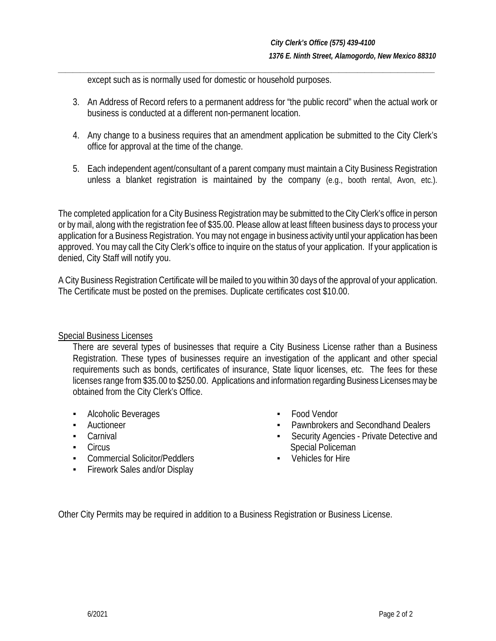except such as is normally used for domestic or household purposes.

3. An Address of Record refers to a permanent address for "the public record" when the actual work or business is conducted at a different non-permanent location.

*\_\_\_\_\_\_\_\_\_\_\_\_\_\_\_\_\_\_\_\_\_\_\_\_\_\_\_\_\_\_\_\_\_\_\_\_\_\_\_\_\_\_\_\_\_\_\_\_\_\_\_\_\_\_\_\_\_\_\_\_\_\_\_\_\_\_\_\_\_\_\_\_\_\_\_\_\_\_\_\_\_\_\_\_\_\_\_\_\_\_\_\_\_\_\_\_\_\_\_\_\_\_*

- 4. Any change to a business requires that an amendment application be submitted to the City Clerk's office for approval at the time of the change.
- 5. Each independent agent/consultant of a parent company must maintain a City Business Registration unless a blanket registration is maintained by the company (e.g., booth rental, Avon, etc.).

The completed application for a City Business Registration may be submitted to theCity Clerk's office in person or by mail, along with the registration fee of \$35.00. Please allow at least fifteen business days to process your application for a Business Registration. You may not engage in business activity until your application has been approved. You may call the City Clerk's office to inquire on the status of your application. If your application is denied, City Staff will notify you.

A City Business Registration Certificate will be mailed to you within 30 days of the approval of your application. The Certificate must be posted on the premises. Duplicate certificates cost \$10.00.

### Special Business Licenses

There are several types of businesses that require a City Business License rather than a Business Registration. These types of businesses require an investigation of the applicant and other special requirements such as bonds, certificates of insurance, State liquor licenses, etc. The fees for these licenses range from \$35.00 to \$250.00. Applications and information regarding Business Licenses may be obtained from the City Clerk's Office.

- Alcoholic Beverages
- **•** Auctioneer
- Carnival
- Circus
- **Commercial Solicitor/Peddlers**
- Firework Sales and/or Display
- **Food Vendor**
- Pawnbrokers and Secondhand Dealers
- Security Agencies Private Detective and Special Policeman
- Vehicles for Hire

Other City Permits may be required in addition to a Business Registration or Business License.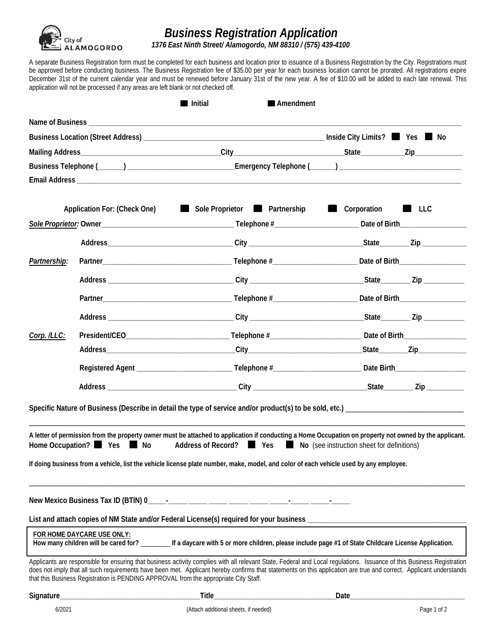

# *Business Registration Application*

 *1376 East Ninth Street/ Alamogordo, NM 88310 / (575) 439-4100*

A separate Business Registration form must be completed for each business and location prior to issuance of a Business Registration by the City. Registrations must be approved before conducting business. The Business Registration fee of \$35.00 per year for each business location cannot be prorated. All registrations expire December 31st of the current calendar year and must be renewed before January 31st of the new year. A fee of \$10.00 will be added to each late renewal. This application will not be processed if any areas are left blank or not checked off.

|              |                                                                                      | Initial<br>Amendment                                                                                                                                                                                                                                                                                                                         |                            |  |
|--------------|--------------------------------------------------------------------------------------|----------------------------------------------------------------------------------------------------------------------------------------------------------------------------------------------------------------------------------------------------------------------------------------------------------------------------------------------|----------------------------|--|
|              |                                                                                      |                                                                                                                                                                                                                                                                                                                                              |                            |  |
|              |                                                                                      |                                                                                                                                                                                                                                                                                                                                              |                            |  |
|              |                                                                                      |                                                                                                                                                                                                                                                                                                                                              |                            |  |
|              |                                                                                      | Business Telephone (______) ____________________________Emergency Telephone (_____) __________________________                                                                                                                                                                                                                               |                            |  |
|              |                                                                                      |                                                                                                                                                                                                                                                                                                                                              |                            |  |
|              | Application For: (Check One)                                                         | Sole Proprietor <b>No. 2018</b> Partnership                                                                                                                                                                                                                                                                                                  | Corporation <b>Let</b> LLC |  |
|              |                                                                                      |                                                                                                                                                                                                                                                                                                                                              |                            |  |
|              |                                                                                      |                                                                                                                                                                                                                                                                                                                                              |                            |  |
| Partnership: |                                                                                      |                                                                                                                                                                                                                                                                                                                                              |                            |  |
|              |                                                                                      |                                                                                                                                                                                                                                                                                                                                              |                            |  |
|              |                                                                                      |                                                                                                                                                                                                                                                                                                                                              |                            |  |
|              |                                                                                      |                                                                                                                                                                                                                                                                                                                                              |                            |  |
| Corp. /LLC:  |                                                                                      |                                                                                                                                                                                                                                                                                                                                              |                            |  |
|              |                                                                                      |                                                                                                                                                                                                                                                                                                                                              |                            |  |
|              |                                                                                      |                                                                                                                                                                                                                                                                                                                                              |                            |  |
|              |                                                                                      |                                                                                                                                                                                                                                                                                                                                              |                            |  |
|              |                                                                                      |                                                                                                                                                                                                                                                                                                                                              |                            |  |
|              |                                                                                      | A letter of permission from the property owner must be attached to application if conducting a Home Occupation on property not owned by the applicant.<br>Home Occupation? Yes Mo Address of Record? Yes Mo (see instruction sheet for definitions)                                                                                          |                            |  |
|              |                                                                                      | If doing business from a vehicle, list the vehicle license plate number, make, model, and color of each vehicle used by any employee.                                                                                                                                                                                                        |                            |  |
|              |                                                                                      |                                                                                                                                                                                                                                                                                                                                              |                            |  |
|              |                                                                                      |                                                                                                                                                                                                                                                                                                                                              |                            |  |
|              | FOR HOME DAYCARE USE ONLY:                                                           | How many children will be cared for? _________ If a daycare with 5 or more children, please include page #1 of State Childcare License Application.                                                                                                                                                                                          |                            |  |
|              | that this Business Registration is PENDING APPROVAL from the appropriate City Staff. | Applicants are responsible for ensuring that business activity complies with all relevant State, Federal and Local regulations. Issuance of this Business Registration<br>does not imply that all such requirements have been met. Applicant hereby confirms that statements on this application are true and correct. Applicant understands |                            |  |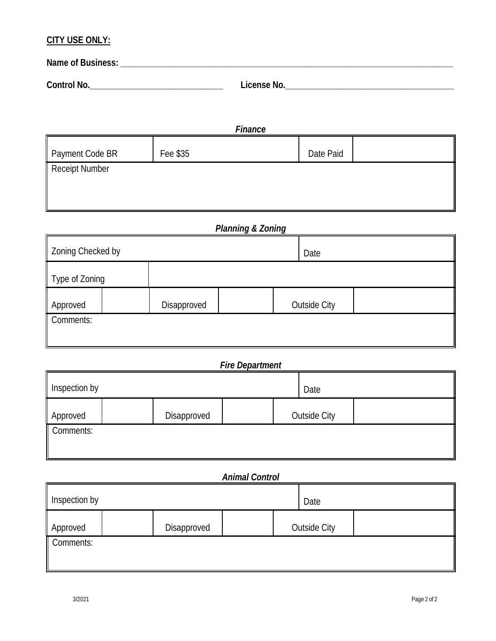## **CITY USE ONLY:**

| Name of Business: |             |
|-------------------|-------------|
| Control No.       | License No. |

| Finance         |          |           |  |  |
|-----------------|----------|-----------|--|--|
| Payment Code BR | Fee \$35 | Date Paid |  |  |
| Receipt Number  |          |           |  |  |
|                 |          |           |  |  |
|                 |          |           |  |  |

*Planning & Zoning*

| Zoning Checked by |  |             |  |  | Date                |  |
|-------------------|--|-------------|--|--|---------------------|--|
| Type of Zoning    |  |             |  |  |                     |  |
| Approved          |  | Disapproved |  |  | <b>Outside City</b> |  |
| Comments:         |  |             |  |  |                     |  |

*Fire Department*

| Inspection by |  |             |  | Date |                     |  |
|---------------|--|-------------|--|------|---------------------|--|
| Approved      |  | Disapproved |  |      | <b>Outside City</b> |  |
| Comments:     |  |             |  |      |                     |  |

# *Animal Control*

| Inspection by |  |             |  | Date |                     |  |
|---------------|--|-------------|--|------|---------------------|--|
| Approved      |  | Disapproved |  |      | <b>Outside City</b> |  |
| Comments:     |  |             |  |      |                     |  |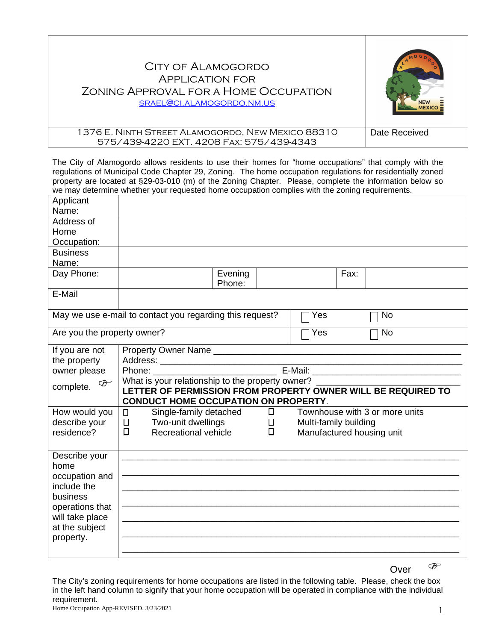# City of Alamogordo Application for Zoning Approval for a Home Occupation [srael@ci.alamogordo.nm.us](mailto:srael@ci.alamogordo.nm.us)



#### 1376 E. Ninth Street Alamogordo, New Mexico 88310 575/439-4220 EXT. 4208 Fax: 575/439-4343 Date Received

The City of Alamogordo allows residents to use their homes for "home occupations" that comply with the regulations of Municipal Code Chapter 29, Zoning. The home occupation regulations for residentially zoned property are located at §29-03-010 (m) of the Zoning Chapter. Please, complete the information below so we may determine whether your requested home occupation complies with the zoning requirements.

| Applicant                     |                                                                |         |                           |      |                                |
|-------------------------------|----------------------------------------------------------------|---------|---------------------------|------|--------------------------------|
| Name:                         |                                                                |         |                           |      |                                |
| Address of                    |                                                                |         |                           |      |                                |
| Home                          |                                                                |         |                           |      |                                |
| Occupation:                   |                                                                |         |                           |      |                                |
| <b>Business</b>               |                                                                |         |                           |      |                                |
| Name:                         |                                                                |         |                           |      |                                |
| Day Phone:                    |                                                                | Evening |                           | Fax: |                                |
|                               |                                                                | Phone:  |                           |      |                                |
| E-Mail                        |                                                                |         |                           |      |                                |
|                               |                                                                |         |                           |      |                                |
|                               | May we use e-mail to contact you regarding this request?       |         | Yes                       |      | No                             |
| Are you the property owner?   |                                                                |         | Yes                       |      | <b>No</b>                      |
| If you are not                | Property Owner Name                                            |         |                           |      |                                |
| the property                  |                                                                |         |                           |      |                                |
| owner please                  |                                                                |         |                           |      |                                |
|                               | What is your relationship to the property owner? _____________ |         |                           |      |                                |
|                               |                                                                |         |                           |      |                                |
| $\mathbb{Q}$<br>complete.     | LETTER OF PERMISSION FROM PROPERTY OWNER WILL BE REQUIRED TO   |         |                           |      |                                |
|                               | <b>CONDUCT HOME OCCUPATION ON PROPERTY.</b>                    |         |                           |      |                                |
| How would you                 | Single-family detached<br>$\Box$                               | $\Box$  |                           |      | Townhouse with 3 or more units |
| describe your                 | Two-unit dwellings<br>$\Box$                                   | $\Box$  | Multi-family building     |      |                                |
| residence?                    | Recreational vehicle<br>$\Box$                                 | $\Box$  | Manufactured housing unit |      |                                |
|                               |                                                                |         |                           |      |                                |
|                               |                                                                |         |                           |      |                                |
| Describe your<br>home         |                                                                |         |                           |      |                                |
|                               |                                                                |         |                           |      |                                |
| occupation and<br>include the |                                                                |         |                           |      |                                |
| business                      |                                                                |         |                           |      |                                |
| operations that               |                                                                |         |                           |      |                                |
| will take place               |                                                                |         |                           |      |                                |
| at the subject                |                                                                |         |                           |      |                                |
| property.                     |                                                                |         |                           |      |                                |
|                               |                                                                |         |                           |      |                                |

Over  $\circledast$ 

The City's zoning requirements for home occupations are listed in the following table. Please, check the box in the left hand column to signify that your home occupation will be operated in compliance with the individual requirement.